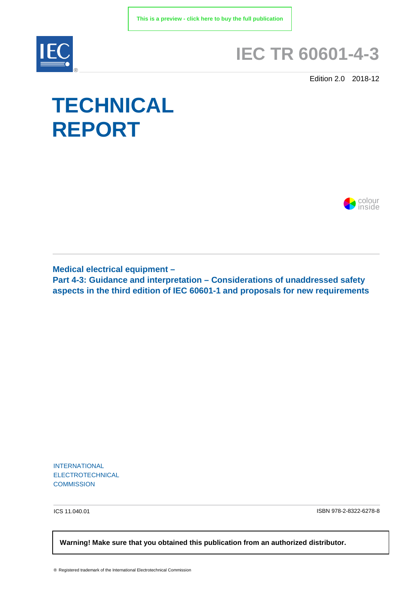

## **IEC TR 60601-4-3**

Edition 2.0 2018-12

# **TECHNICAL REPORT**



**Medical electrical equipment –**

**Part 4-3: Guidance and interpretation – Considerations of unaddressed safety aspects in the third edition of IEC 60601-1 and proposals for new requirements**

INTERNATIONAL ELECTROTECHNICAL **COMMISSION** 

ICS 11.040.01 ISBN 978-2-8322-6278-8

 **Warning! Make sure that you obtained this publication from an authorized distributor.**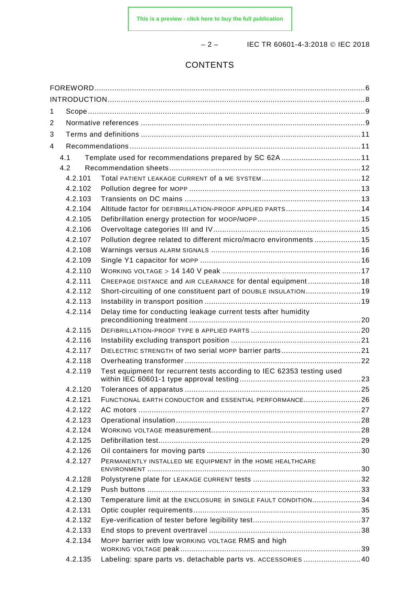$- 2 -$  IEC TR 60601-4-3:2018 © IEC 2018

### CONTENTS

| 1 |         |                                                                        |  |
|---|---------|------------------------------------------------------------------------|--|
| 2 |         |                                                                        |  |
| 3 |         |                                                                        |  |
| 4 |         |                                                                        |  |
|   | 4.1     | Template used for recommendations prepared by SC 62A 11                |  |
|   | 4.2     |                                                                        |  |
|   | 4.2.101 |                                                                        |  |
|   | 4.2.102 |                                                                        |  |
|   | 4.2.103 |                                                                        |  |
|   | 4.2.104 | Altitude factor for DEFIBRILLATION-PROOF APPLIED PARTS 14              |  |
|   | 4.2.105 |                                                                        |  |
|   | 4.2.106 |                                                                        |  |
|   | 4.2.107 | Pollution degree related to different micro/macro environments  15     |  |
|   | 4.2.108 |                                                                        |  |
|   | 4.2.109 |                                                                        |  |
|   | 4.2.110 |                                                                        |  |
|   | 4.2.111 | CREEPAGE DISTANCE and AIR CLEARANCE for dental equipment 18            |  |
|   | 4.2.112 | Short-circuiting of one constituent part of DOUBLE INSULATION 19       |  |
|   | 4.2.113 |                                                                        |  |
|   | 4.2.114 | Delay time for conducting leakage current tests after humidity         |  |
|   | 4.2.115 |                                                                        |  |
|   | 4.2.116 |                                                                        |  |
|   | 4.2.117 | DIELECTRIC STRENGTH of two serial MOPP barrier parts21                 |  |
|   | 4.2.118 |                                                                        |  |
|   | 4.2.119 | Test equipment for recurrent tests according to IEC 62353 testing used |  |
|   | 4.2.120 |                                                                        |  |
|   | 4.2.121 | FUNCTIONAL EARTH CONDUCTOR and ESSENTIAL PERFORMANCE26                 |  |
|   | 4.2.122 |                                                                        |  |
|   | 4.2.123 |                                                                        |  |
|   | 4.2.124 |                                                                        |  |
|   | 4.2.125 |                                                                        |  |
|   | 4.2.126 |                                                                        |  |
|   | 4.2.127 | PERMANENTLY INSTALLED ME EQUIPMENT in the HOME HEALTHCARE              |  |
|   | 4.2.128 |                                                                        |  |
|   | 4.2.129 |                                                                        |  |
|   | 4.2.130 | Temperature limit at the ENCLOSURE in SINGLE FAULT CONDITION34         |  |
|   | 4.2.131 |                                                                        |  |
|   | 4.2.132 |                                                                        |  |
|   | 4.2.133 |                                                                        |  |
|   | 4.2.134 | MOPP barrier with low WORKING VOLTAGE RMS and high                     |  |
|   | 4.2.135 | Labeling: spare parts vs. detachable parts vs. ACCESSORIES 40          |  |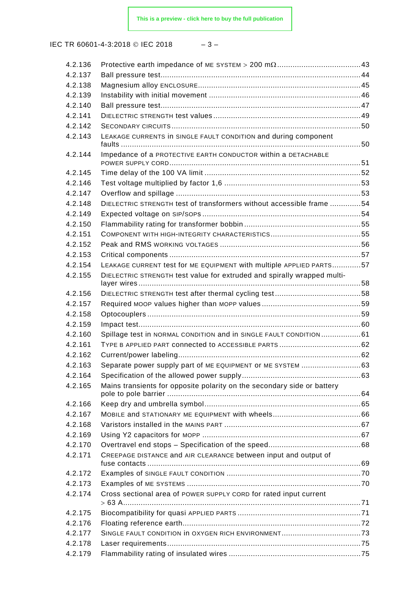IEC TR 60601-4-3:2018 © IEC 2018 – 3-

| 4.2.136   |                                                                         |  |
|-----------|-------------------------------------------------------------------------|--|
| 4.2.137   |                                                                         |  |
| 4.2.138   |                                                                         |  |
| 4.2.139   |                                                                         |  |
| 4.2.140   |                                                                         |  |
| 4.2.141   |                                                                         |  |
| 4.2.142   |                                                                         |  |
| 4.2.143   | LEAKAGE CURRENTS in SINGLE FAULT CONDITION and during component         |  |
| 4.2.144   | Impedance of a PROTECTIVE EARTH CONDUCTOR within a DETACHABLE           |  |
| 4.2.145   |                                                                         |  |
| 4.2.146   |                                                                         |  |
| 4.2.147   |                                                                         |  |
| 4.2.148   | DIELECTRIC STRENGTH test of transformers without accessible frame 54    |  |
| 4.2.149   |                                                                         |  |
| 4.2.150   |                                                                         |  |
| 4.2.151   |                                                                         |  |
| 4.2.152   |                                                                         |  |
| 4.2.153   |                                                                         |  |
| 4.2.154   | LEAKAGE CURRENT test for ME EQUIPMENT with multiple APPLIED PARTS57     |  |
| 4.2.155   | DIELECTRIC STRENGTH test value for extruded and spirally wrapped multi- |  |
| 4.2.156   |                                                                         |  |
| 4.2.157   |                                                                         |  |
| 4.2.158   |                                                                         |  |
| 4.2.159   |                                                                         |  |
| 4.2.160   | Spillage test in NORMAL CONDITION and in SINGLE FAULT CONDITION61       |  |
| 4.2.161   |                                                                         |  |
| 4.2.162   |                                                                         |  |
| 4.2.163   | Separate power supply part of ME EQUIPMENT or ME SYSTEM  63             |  |
| 4 2 1 6 4 |                                                                         |  |
| 4.2.165   | Mains transients for opposite polarity on the secondary side or battery |  |
| 4.2.166   |                                                                         |  |
| 4.2.167   |                                                                         |  |
| 4.2.168   |                                                                         |  |
| 4.2.169   |                                                                         |  |
| 4.2.170   |                                                                         |  |
| 4.2.171   | CREEPAGE DISTANCE and AIR CLEARANCE between input and output of         |  |
| 4.2.172   |                                                                         |  |
| 4.2.173   |                                                                         |  |
| 4.2.174   | Cross sectional area of POWER SUPPLY CORD for rated input current       |  |
| 4.2.175   |                                                                         |  |
| 4.2.176   |                                                                         |  |
| 4.2.177   |                                                                         |  |
| 4.2.178   |                                                                         |  |
| 4.2.179   |                                                                         |  |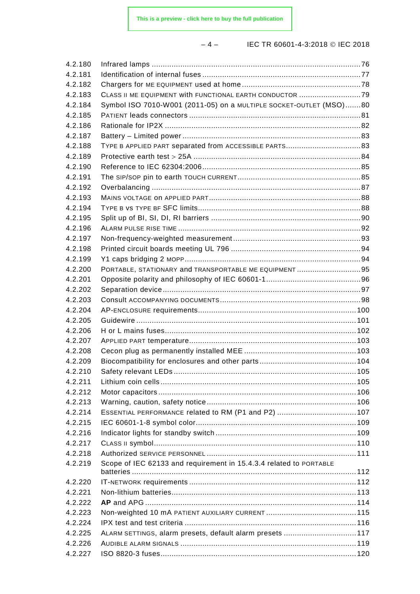$-4 -$  IEC TR 60601-4-3:2018 © IEC 2018

| 4.2.180 |                                                                    |  |
|---------|--------------------------------------------------------------------|--|
| 4.2.181 |                                                                    |  |
| 4.2.182 |                                                                    |  |
| 4.2.183 | CLASS II ME EQUIPMENT with FUNCTIONAL EARTH CONDUCTOR 79           |  |
| 4.2.184 | Symbol ISO 7010-W001 (2011-05) on a MULTIPLE SOCKET-OUTLET (MSO)80 |  |
| 4.2.185 |                                                                    |  |
| 4.2.186 |                                                                    |  |
| 4.2.187 |                                                                    |  |
| 4.2.188 |                                                                    |  |
| 4.2.189 |                                                                    |  |
| 4.2.190 |                                                                    |  |
| 4.2.191 |                                                                    |  |
| 4.2.192 |                                                                    |  |
| 4.2.193 |                                                                    |  |
| 4.2.194 |                                                                    |  |
| 4.2.195 |                                                                    |  |
| 4.2.196 |                                                                    |  |
| 4.2.197 |                                                                    |  |
| 4.2.198 |                                                                    |  |
| 4.2.199 |                                                                    |  |
| 4.2.200 | PORTABLE, STATIONARY and TRANSPORTABLE ME EQUIPMENT95              |  |
| 4.2.201 |                                                                    |  |
| 4.2.202 |                                                                    |  |
| 4.2.203 |                                                                    |  |
| 4.2.204 |                                                                    |  |
| 4.2.205 |                                                                    |  |
| 4.2.206 |                                                                    |  |
| 4.2.207 |                                                                    |  |
| 4.2.208 |                                                                    |  |
| 4.2.209 |                                                                    |  |
| 4.2.210 |                                                                    |  |
| 4.2.211 |                                                                    |  |
| 4.2.212 |                                                                    |  |
| 4.2.213 |                                                                    |  |
| 4.2.214 | ESSENTIAL PERFORMANCE related to RM (P1 and P2)  107               |  |
| 4.2.215 |                                                                    |  |
| 4.2.216 |                                                                    |  |
| 4.2.217 |                                                                    |  |
| 4.2.218 |                                                                    |  |
| 4.2.219 | Scope of IEC 62133 and requirement in 15.4.3.4 related to PORTABLE |  |
| 4.2.220 |                                                                    |  |
| 4.2.221 |                                                                    |  |
| 4.2.222 |                                                                    |  |
| 4.2.223 |                                                                    |  |
| 4.2.224 |                                                                    |  |
| 4.2.225 | ALARM SETTINGS, alarm presets, default alarm presets 117           |  |
| 4.2.226 |                                                                    |  |
| 4.2.227 |                                                                    |  |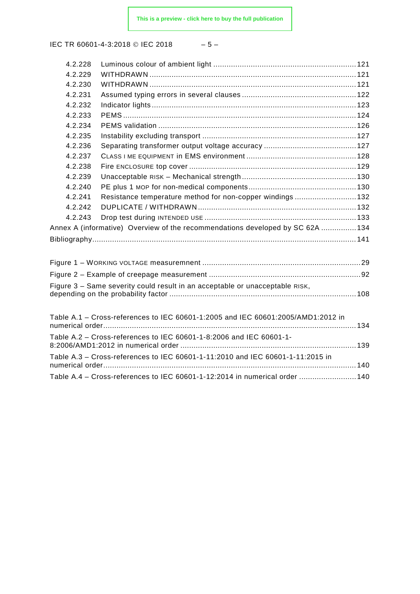IEC TR 60601-4-3:2018 © IEC 2018 – 5 –

| 4.2.228 |                                                                                  |  |
|---------|----------------------------------------------------------------------------------|--|
| 4.2.229 |                                                                                  |  |
| 4.2.230 |                                                                                  |  |
| 4.2.231 |                                                                                  |  |
| 4.2.232 |                                                                                  |  |
| 4.2.233 |                                                                                  |  |
| 4.2.234 |                                                                                  |  |
| 4.2.235 |                                                                                  |  |
| 4.2.236 |                                                                                  |  |
| 4.2.237 |                                                                                  |  |
| 4.2.238 |                                                                                  |  |
| 4.2.239 |                                                                                  |  |
| 4.2.240 |                                                                                  |  |
| 4.2.241 | Resistance temperature method for non-copper windings  132                       |  |
| 4.2.242 |                                                                                  |  |
| 4.2.243 |                                                                                  |  |
|         | Annex A (informative) Overview of the recommendations developed by SC 62A 134    |  |
|         |                                                                                  |  |
|         |                                                                                  |  |
|         |                                                                                  |  |
|         |                                                                                  |  |
|         | Figure 3 - Same severity could result in an acceptable or unacceptable RISK,     |  |
|         |                                                                                  |  |
|         |                                                                                  |  |
|         | Table A.1 - Cross-references to IEC 60601-1:2005 and IEC 60601:2005/AMD1:2012 in |  |
|         | Table A.2 - Cross-references to IEC 60601-1-8:2006 and IEC 60601-1-              |  |
|         | Table A.3 - Cross-references to IEC 60601-1-11:2010 and IEC 60601-1-11:2015 in   |  |
|         |                                                                                  |  |

Table A.4 – Cross-references to IEC 60601-1-12:2014 in numerical order ..........................140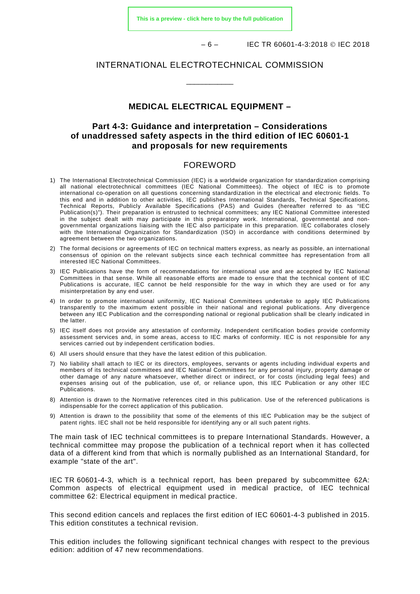**[This is a preview - click here to buy the full publication](https://webstore.iec.ch/publication/29357&preview)**

 $-6 -$  IEC TR 60601-4-3:2018 © IEC 2018

#### INTERNATIONAL ELECTROTECHNICAL COMMISSION

\_\_\_\_\_\_\_\_\_\_\_\_

#### **MEDICAL ELECTRICAL EQUIPMENT –**

#### **Part 4-3: Guidance and interpretation – Considerations of unaddressed safety aspects in the third edition of IEC 60601-1 and proposals for new requirements**

#### FOREWORD

- <span id="page-5-0"></span>1) The International Electrotechnical Commission (IEC) is a worldwide organization for standardization comprising all national electrotechnical committees (IEC National Committees). The object of IEC is to promote international co-operation on all questions concerning standardization in the electrical and electronic fields. To this end and in addition to other activities, IEC publishes International Standards, Technical Specifications, Technical Reports, Publicly Available Specifications (PAS) and Guides (hereafter referred to as "IEC Publication(s)"). Their preparation is entrusted to technical committees; any IEC National Committee interested in the subject dealt with may participate in this preparatory work. International, governmental and nongovernmental organizations liaising with the IEC also participate in this preparation. IEC collaborates closely with the International Organization for Standardization (ISO) in accordance with conditions determined by agreement between the two organizations.
- 2) The formal decisions or agreements of IEC on technical matters express, as nearly as possible, an international consensus of opinion on the relevant subjects since each technical committee has representation from all interested IEC National Committees.
- 3) IEC Publications have the form of recommendations for international use and are accepted by IEC National Committees in that sense. While all reasonable efforts are made to ensure that the technical content of IEC Publications is accurate, IEC cannot be held responsible for the way in which they are used or for any misinterpretation by any end user.
- 4) In order to promote international uniformity, IEC National Committees undertake to apply IEC Publications transparently to the maximum extent possible in their national and regional publications. Any divergence between any IEC Publication and the corresponding national or regional publication shall be clearly indicated in the latter.
- 5) IEC itself does not provide any attestation of conformity. Independent certification bodies provide conformity assessment services and, in some areas, access to IEC marks of conformity. IEC is not responsible for any services carried out by independent certification bodies.
- 6) All users should ensure that they have the latest edition of this publication.
- 7) No liability shall attach to IEC or its directors, employees, servants or agents including individual experts and members of its technical committees and IEC National Committees for any personal injury, property damage or other damage of any nature whatsoever, whether direct or indirect, or for costs (including legal fees) and expenses arising out of the publication, use of, or reliance upon, this IEC Publication or any other IEC Publications.
- 8) Attention is drawn to the Normative references cited in this publication. Use of the referenced publications is indispensable for the correct application of this publication.
- 9) Attention is drawn to the possibility that some of the elements of this IEC Publication may be the subject of patent rights. IEC shall not be held responsible for identifying any or all such patent rights.

The main task of IEC technical committees is to prepare International Standards. However, a technical committee may propose the publication of a technical report when it has collected data of a different kind from that which is normally published as an International Standard, for example "state of the art".

IEC TR 60601-4-3, which is a technical report, has been prepared by subcommittee 62A: Common aspects of electrical equipment used in medical practice, of IEC technical committee 62: Electrical equipment in medical practice.

This second edition cancels and replaces the first edition of IEC 60601-4-3 published in 2015. This edition constitutes a technical revision.

This edition includes the following significant technical changes with respect to the previous edition: addition of 47 new recommendations.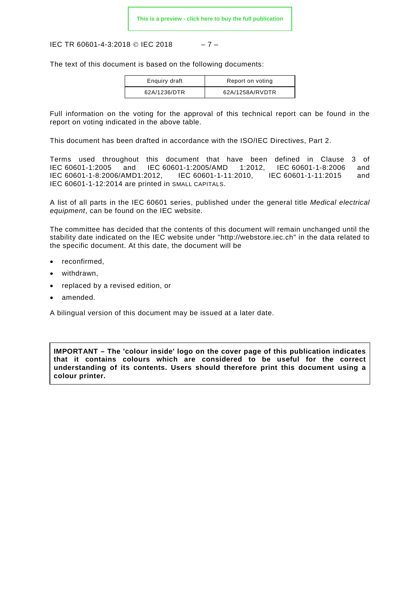IEC TR 60601-4-3:2018 © IEC 2018 – 7 –

The text of this document is based on the following documents:

| Enquiry draft | Report on voting |
|---------------|------------------|
| 62A/1236/DTR  | 62A/1258A/RVDTR  |

Full information on the voting for the approval of this technical report can be found in the report on voting indicated in the above table.

This document has been drafted in accordance with the ISO/IEC Directives, Part 2.

Terms used throughout this document that have been defined in Clause 3 of IEC 60601-1:2005 and IEC 60601-1:2005/AMD 1:2012, IEC 60601-1-8:2006 and IEC 60601-1-8:2006/AMD1:2012, IEC 60601-1-11:2010, IEC 60601-1-11:2015 and IEC 60601-1-12:2014 are printed in SMALL CAPITALS.

A list of all parts in the IEC 60601 series, published under the general title *Medical electrical equipment*, can be found on the IEC website.

The committee has decided that the contents of this document will remain unchanged until the stability date indicated on the IEC website under "http://webstore.iec.ch" in the data related to the specific document. At this date, the document will be

- reconfirmed,
- withdrawn,
- replaced by a revised edition, or
- amended.

A bilingual version of this document may be issued at a later date.

**IMPORTANT – The 'colour inside' logo on the cover page of this publication indicates that it contains colours which are considered to be useful for the correct understanding of its contents. Users should therefore print this document using a colour printer.**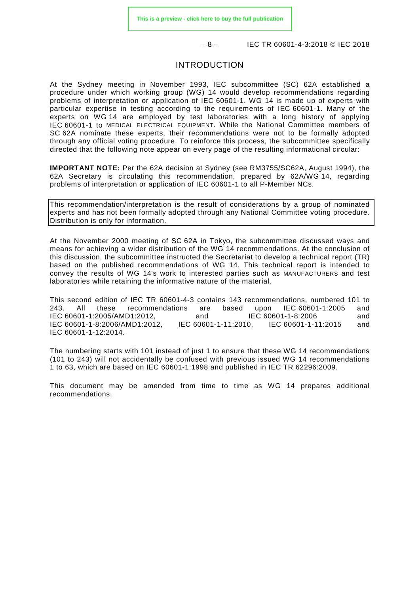$-8 -$  IEC TR 60601-4-3:2018 © IEC 2018

#### INTRODUCTION

<span id="page-7-0"></span>At the Sydney meeting in November 1993, IEC subcommittee (SC) 62A established a procedure under which working group (WG) 14 would develop recommendations regarding problems of interpretation or application of IEC 60601-1. WG 14 is made up of experts with particular expertise in testing according to the requirements of IEC 60601-1. Many of the experts on WG 14 are employed by test laboratories with a long history of applying IEC 60601-1 to MEDICAL ELECTRICAL EQUIPMENT. While the National Committee members of SC 62A nominate these experts, their recommendations were not to be formally adopted through any official voting procedure. To reinforce this process, the subcommittee specifically directed that the following note appear on every page of the resulting informational circular:

**IMPORTANT NOTE:** Per the 62A decision at Sydney (see RM3755/SC62A, August 1994), the 62A Secretary is circulating this recommendation, prepared by 62A/WG 14, regarding problems of interpretation or application of IEC 60601-1 to all P-Member NCs.

This recommendation/interpretation is the result of considerations by a group of nominated experts and has not been formally adopted through any National Committee voting procedure. Distribution is only for information.

At the November 2000 meeting of SC 62A in Tokyo, the subcommittee discussed ways and means for achieving a wider distribution of the WG 14 recommendations. At the conclusion of this discussion, the subcommittee instructed the Secretariat to develop a technical report (TR) based on the published recommendations of WG 14. This technical report is intended to convey the results of WG 14's work to interested parties such as MANUFACTURERS and test laboratories while retaining the informative nature of the material.

This second edition of IEC TR 60601-4-3 contains 143 recommendations, numbered 101 to 243. All these recommendations are based upon IEC 60601-1:2005 and<br>IEC 60601-1:2005/AMD1:2012, and IEC 60601-1-8:2006 and IEC 60601-1:2005/AMD1:2012, and IEC 60601-1-8:2006 and IEC 60601-1-8:2006 and IEC 60601-1-8:2006 and IEC 60601-1-8:2006/AMD1:2012, IEC 60601-1-11:2010, IEC 60601-1-11:2015 and IEC 60601-1-12:2014.

The numbering starts with 101 instead of just 1 to ensure that these WG 14 recommendations (101 to 243) will not accidentally be confused with previous issued WG 14 recommendations 1 to 63, which are based on IEC 60601-1:1998 and published in IEC TR 62296:2009.

This document may be amended from time to time as WG 14 prepares additional recommendations.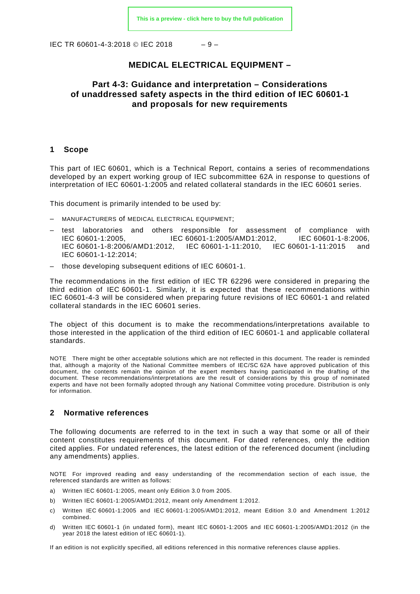IEC TR 60601-4-3:2018 © IEC 2018  $-9-$ 

#### **MEDICAL ELECTRICAL EQUIPMENT –**

#### **Part 4-3: Guidance and interpretation – Considerations of unaddressed safety aspects in the third edition of IEC 60601-1 and proposals for new requirements**

#### <span id="page-8-0"></span>**1 Scope**

This part of IEC 60601, which is a Technical Report, contains a series of recommendations developed by an expert working group of IEC subcommittee 62A in response to questions of interpretation of IEC 60601-1:2005 and related collateral standards in the IEC 60601 series.

This document is primarily intended to be used by:

- MANUFACTURERS of MEDICAL ELECTRICAL EQUIPMENT;
- test laboratories and others responsible for assessment of compliance with<br>IEC 60601-1:2005. IEC 60601-1:2005/AMD1:2012. IEC 60601-1-8:2006. IEC 60601-1:2005/AMD1:2012, IEC 60601-1-8:2006/AMD1:2012, IEC 60601-1-11:2010, IEC 60601-1-11:2015 and IEC 60601-1-12:2014;
- those developing subsequent editions of IEC 60601-1.

The recommendations in the first edition of IEC TR 62296 were considered in preparing the third edition of IEC 60601-1. Similarly, it is expected that these recommendations within IEC 60601-4-3 will be considered when preparing future revisions of IEC 60601-1 and related collateral standards in the IEC 60601 series.

The object of this document is to make the recommendations/interpretations available to those interested in the application of the third edition of IEC 60601-1 and applicable collateral standards.

NOTE There might be other acceptable solutions which are not reflected in this document. The reader is reminded that, although a majority of the National Committee members of IEC/SC 62A have approved publication of this document, the contents remain the opinion of the expert members having participated in the drafting of the document. These recommendations/interpretations are the result of considerations by this group of nominated experts and have not been formally adopted through any National Committee voting procedure. Distribution is only for information.

#### <span id="page-8-1"></span>**2 Normative references**

The following documents are referred to in the text in such a way that some or all of their content constitutes requirements of this document. For dated references, only the edition cited applies. For undated references, the latest edition of the referenced document (including any amendments) applies.

NOTE For improved reading and easy understanding of the recommendation section of each issue, the referenced standards are written as follows:

- a) Written IEC 60601-1:2005, meant only Edition 3.0 from 2005.
- b) Written IEC 60601-1:2005/AMD1:2012, meant only Amendment 1:2012.
- c) Written IEC 60601-1:2005 and IEC 60601-1:2005/AMD1:2012, meant Edition 3.0 and Amendment 1:2012 combined.
- d) Written IEC 60601-1 (in undated form), meant IEC 60601-1:2005 and IEC 60601-1:2005/AMD1:2012 (in the year 2018 the latest edition of IEC 60601-1).

If an edition is not explicitly specified, all editions referenced in this normative references clause applies.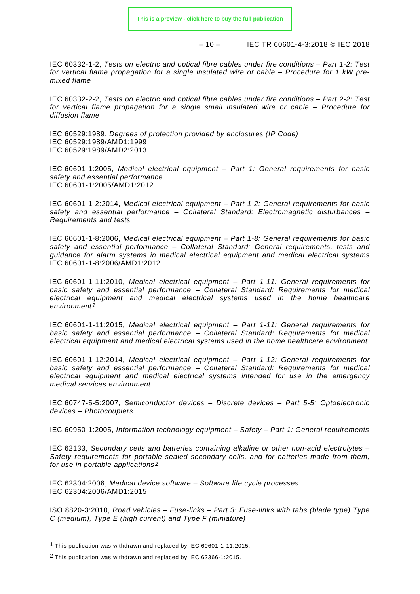$-10 -$  IEC TR 60601-4-3:2018 © IEC 2018

IEC 60332-1-2, *Tests on electric and optical fibre cables under fire conditions – Part 1-2: Test for vertical flame propagation for a single insulated wire or cable – Procedure for 1 kW premixed flame*

IEC 60332-2-2, *Tests on electric and optical fibre cables under fire conditions – Part 2-2: Test for vertical flame propagation for a single small insulated wire or cable – Procedure for diffusion flame*

IEC 60529:1989, *Degrees of protection provided by enclosures (IP Code)* IEC 60529:1989/AMD1:1999 IEC 60529:1989/AMD2:2013

IEC 60601-1:2005, *Medical electrical equipment – Part 1: General requirements for basic safety and essential performance*  IEC 60601-1:2005/AMD1:2012

IEC 60601-1-2:2014, *Medical electrical equipment – Part 1-2: General requirements for basic safety and essential performance – Collateral Standard: Electromagnetic disturbances – Requirements and tests*

IEC 60601-1-8:2006, *Medical electrical equipment – Part 1-8: General requirements for basic safety and essential performance – Collateral Standard: General requirements, tests and guidance for alarm systems in medical electrical equipment and medical electrical systems* IEC 60601-1-8:2006/AMD1:2012

IEC 60601-1-11:2010, *Medical electrical equipment – Part 1-11: General requirements for basic safety and essential performance – Collateral Standard: Requirements for medical electrical equipment and medical electrical systems used in the home healthcare environment [1](#page-9-0)*

IEC 60601-1-11:2015, *Medical electrical equipment – Part 1-11: General requirements for basic safety and essential performance – Collateral Standard: Requirements for medical electrical equipment and medical electrical systems used in the home healthcare environment*

IEC 60601-1-12:2014, *Medical electrical equipment – Part 1-12: General requirements for basic safety and essential performance – Collateral Standard: Requirements for medical electrical equipment and medical electrical systems intended for use in the emergency medical services environment*

IEC 60747-5-5:2007, *Semiconductor devices – Discrete devices – Part 5-5: Optoelectronic devices – Photocouplers*

IEC 60950-1:2005, *Information technology equipment – Safety – Part 1: General requirements*

IEC 62133, *Secondary cells and batteries containing alkaline or other non-acid electrolytes – Safety requirements for portable sealed secondary cells, and for batteries made from them, for use in portable applications [2](#page-9-1)*

IEC 62304:2006, *Medical device software – Software life cycle processes*  IEC 62304:2006/AMD1:2015

ISO 8820-3:2010, *Road vehicles – Fuse-links – Part 3: Fuse-links with tabs (blade type) Type C (medium), Type E (high current) and Type F (miniature)*

\_\_\_\_\_\_\_\_\_\_\_

<span id="page-9-0"></span><sup>1</sup> This publication was withdrawn and replaced by IEC 60601-1-11:2015.

<span id="page-9-1"></span><sup>2</sup> This publication was withdrawn and replaced by IEC 62366-1:2015.